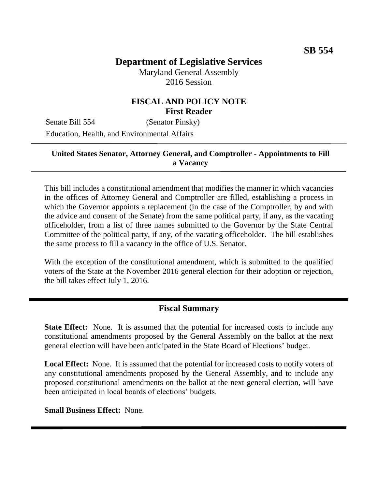# **Department of Legislative Services**

Maryland General Assembly 2016 Session

## **FISCAL AND POLICY NOTE First Reader**

Senate Bill 554 (Senator Pinsky) Education, Health, and Environmental Affairs

#### **United States Senator, Attorney General, and Comptroller - Appointments to Fill a Vacancy**

This bill includes a constitutional amendment that modifies the manner in which vacancies in the offices of Attorney General and Comptroller are filled, establishing a process in which the Governor appoints a replacement (in the case of the Comptroller, by and with the advice and consent of the Senate) from the same political party, if any, as the vacating officeholder, from a list of three names submitted to the Governor by the State Central Committee of the political party, if any, of the vacating officeholder. The bill establishes the same process to fill a vacancy in the office of U.S. Senator.

With the exception of the constitutional amendment, which is submitted to the qualified voters of the State at the November 2016 general election for their adoption or rejection, the bill takes effect July 1, 2016.

#### **Fiscal Summary**

**State Effect:** None. It is assumed that the potential for increased costs to include any constitutional amendments proposed by the General Assembly on the ballot at the next general election will have been anticipated in the State Board of Elections' budget.

**Local Effect:** None. It is assumed that the potential for increased costs to notify voters of any constitutional amendments proposed by the General Assembly, and to include any proposed constitutional amendments on the ballot at the next general election, will have been anticipated in local boards of elections' budgets.

**Small Business Effect:** None.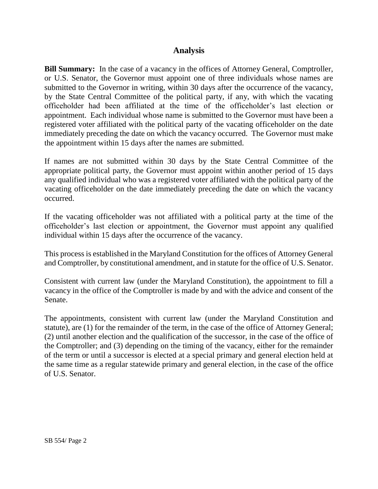## **Analysis**

**Bill Summary:** In the case of a vacancy in the offices of Attorney General, Comptroller, or U.S. Senator, the Governor must appoint one of three individuals whose names are submitted to the Governor in writing, within 30 days after the occurrence of the vacancy, by the State Central Committee of the political party, if any, with which the vacating officeholder had been affiliated at the time of the officeholder's last election or appointment. Each individual whose name is submitted to the Governor must have been a registered voter affiliated with the political party of the vacating officeholder on the date immediately preceding the date on which the vacancy occurred. The Governor must make the appointment within 15 days after the names are submitted.

If names are not submitted within 30 days by the State Central Committee of the appropriate political party, the Governor must appoint within another period of 15 days any qualified individual who was a registered voter affiliated with the political party of the vacating officeholder on the date immediately preceding the date on which the vacancy occurred.

If the vacating officeholder was not affiliated with a political party at the time of the officeholder's last election or appointment, the Governor must appoint any qualified individual within 15 days after the occurrence of the vacancy.

This process is established in the Maryland Constitution for the offices of Attorney General and Comptroller, by constitutional amendment, and in statute for the office of U.S. Senator.

Consistent with current law (under the Maryland Constitution), the appointment to fill a vacancy in the office of the Comptroller is made by and with the advice and consent of the Senate.

The appointments, consistent with current law (under the Maryland Constitution and statute), are (1) for the remainder of the term, in the case of the office of Attorney General; (2) until another election and the qualification of the successor, in the case of the office of the Comptroller; and (3) depending on the timing of the vacancy, either for the remainder of the term or until a successor is elected at a special primary and general election held at the same time as a regular statewide primary and general election, in the case of the office of U.S. Senator.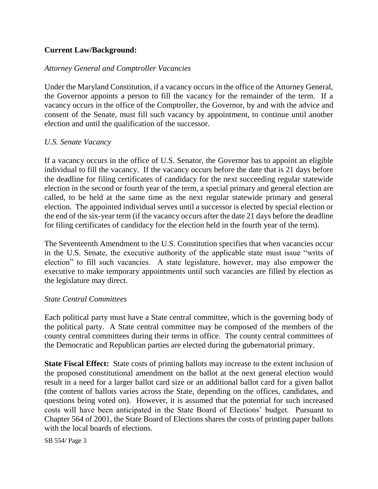### **Current Law/Background:**

#### *Attorney General and Comptroller Vacancies*

Under the Maryland Constitution, if a vacancy occurs in the office of the Attorney General, the Governor appoints a person to fill the vacancy for the remainder of the term. If a vacancy occurs in the office of the Comptroller, the Governor, by and with the advice and consent of the Senate, must fill such vacancy by appointment, to continue until another election and until the qualification of the successor.

#### *U.S. Senate Vacancy*

If a vacancy occurs in the office of U.S. Senator, the Governor has to appoint an eligible individual to fill the vacancy. If the vacancy occurs before the date that is 21 days before the deadline for filing certificates of candidacy for the next succeeding regular statewide election in the second or fourth year of the term, a special primary and general election are called, to be held at the same time as the next regular statewide primary and general election. The appointed individual serves until a successor is elected by special election or the end of the six-year term (if the vacancy occurs after the date 21 days before the deadline for filing certificates of candidacy for the election held in the fourth year of the term).

The Seventeenth Amendment to the U.S. Constitution specifies that when vacancies occur in the U.S. Senate, the executive authority of the applicable state must issue "writs of election" to fill such vacancies. A state legislature, however, may also empower the executive to make temporary appointments until such vacancies are filled by election as the legislature may direct.

#### *State Central Committees*

Each political party must have a State central committee, which is the governing body of the political party. A State central committee may be composed of the members of the county central committees during their terms in office. The county central committees of the Democratic and Republican parties are elected during the gubernatorial primary.

**State Fiscal Effect:** State costs of printing ballots may increase to the extent inclusion of the proposed constitutional amendment on the ballot at the next general election would result in a need for a larger ballot card size or an additional ballot card for a given ballot (the content of ballots varies across the State, depending on the offices, candidates, and questions being voted on). However, it is assumed that the potential for such increased costs will have been anticipated in the State Board of Elections' budget. Pursuant to Chapter 564 of 2001, the State Board of Elections shares the costs of printing paper ballots with the local boards of elections.

SB 554/ Page 3